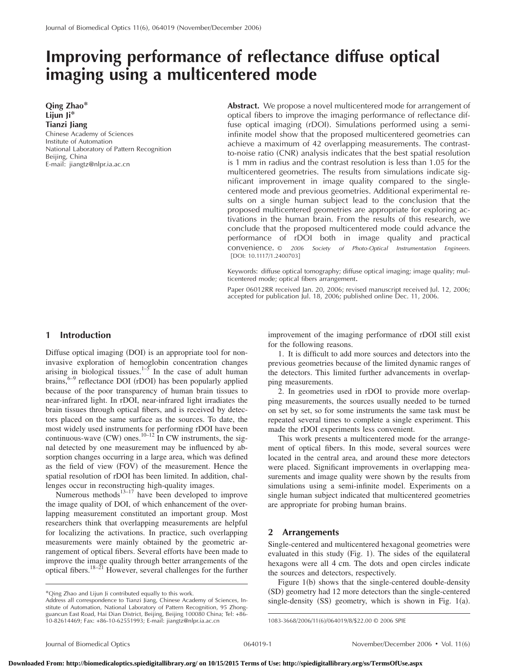# **Improving performance of reflectance diffuse optical imaging using a multicentered mode**

**Qing Zhao\* Lijun Ji\* Tianzi Jiang**

Chinese Academy of Sciences Institute of Automation National Laboratory of Pattern Recognition Beijing, China E-mail: jiangtz@nlpr.ia.ac.cn

**Abstract.** We propose a novel multicentered mode for arrangement of optical fibers to improve the imaging performance of reflectance diffuse optical imaging (rDOI). Simulations performed using a semiinfinite model show that the proposed multicentered geometries can achieve a maximum of 42 overlapping measurements. The contrastto-noise ratio (CNR) analysis indicates that the best spatial resolution is 1 mm in radius and the contrast resolution is less than 1.05 for the multicentered geometries. The results from simulations indicate significant improvement in image quality compared to the singlecentered mode and previous geometries. Additional experimental results on a single human subject lead to the conclusion that the proposed multicentered geometries are appropriate for exploring activations in the human brain. From the results of this research, we conclude that the proposed multicentered mode could advance the performance of rDOI both in image quality and practical convenience. © *2006 Society of Photo-Optical Instrumentation Engineers.* [DOI: 10.1117/1.2400703]

Keywords: diffuse optical tomography; diffuse optical imaging; image quality; multicentered mode; optical fibers arrangement.

Paper 06012RR received Jan. 20, 2006; revised manuscript received Jul. 12, 2006; accepted for publication Jul. 18, 2006; published online Dec. 11, 2006.

## **1 Introduction**

Diffuse optical imaging (DOI) is an appropriate tool for noninvasive exploration of hemoglobin concentration changes arising in biological tissues.<sup>1–5</sup> In the case of adult human brains, $6-9$  reflectance DOI (rDOI) has been popularly applied because of the poor transparency of human brain tissues to near-infrared light. In rDOI, near-infrared light irradiates the brain tissues through optical fibers, and is received by detectors placed on the same surface as the sources. To date, the most widely used instruments for performing rDOI have been continuous-wave (CW) ones.<sup>10–12</sup> In CW instruments, the signal detected by one measurement may be influenced by absorption changes occurring in a large area, which was defined as the field of view (FOV) of the measurement. Hence the spatial resolution of rDOI has been limited. In addition, challenges occur in reconstructing high-quality images.

Numerous methods $^{13-17}$  have been developed to improve the image quality of DOI, of which enhancement of the overlapping measurement constituted an important group. Most researchers think that overlapping measurements are helpful for localizing the activations. In practice, such overlapping measurements were mainly obtained by the geometric arrangement of optical fibers. Several efforts have been made to improve the image quality through better arrangements of the optical fibers.18–21 However, several challenges for the further

\*Qing Zhao and Lijun Ji contributed equally to this work.

improvement of the imaging performance of rDOI still exist for the following reasons.

1. It is difficult to add more sources and detectors into the previous geometries because of the limited dynamic ranges of the detectors. This limited further advancements in overlapping measurements.

2. In geometries used in rDOI to provide more overlapping measurements, the sources usually needed to be turned on set by set, so for some instruments the same task must be repeated several times to complete a single experiment. This made the rDOI experiments less convenient.

This work presents a multicentered mode for the arrangement of optical fibers. In this mode, several sources were located in the central area, and around these more detectors were placed. Significant improvements in overlapping measurements and image quality were shown by the results from simulations using a semi-infinite model. Experiments on a single human subject indicated that multicentered geometries are appropriate for probing human brains.

## **2 Arrangements**

Single-centered and multicentered hexagonal geometries were evaluated in this study (Fig. 1). The sides of the equilateral hexagons were all 4 cm. The dots and open circles indicate the sources and detectors, respectively.

Figure 1(b) shows that the single-centered double-density (SD) geometry had 12 more detectors than the single-centered single-density  $(SS)$  geometry, which is shown in Fig. 1(a).

Address all correspondence to Tianzi Jiang, Chinese Academy of Sciences, Institute of Automation, National Laboratory of Pattern Recognition, 95 Zhong-guancun East Road, Hai Dian District, Beijing, Beijing 100080 China; Tel: +86- 10-82614469; Fax: +86-10-62551993; E-mail: jiangtz@nlpr.ia.ac.cn

<sup>1083-3668/2006/11(6)/064019/8/\$22.00 © 2006</sup> SPIE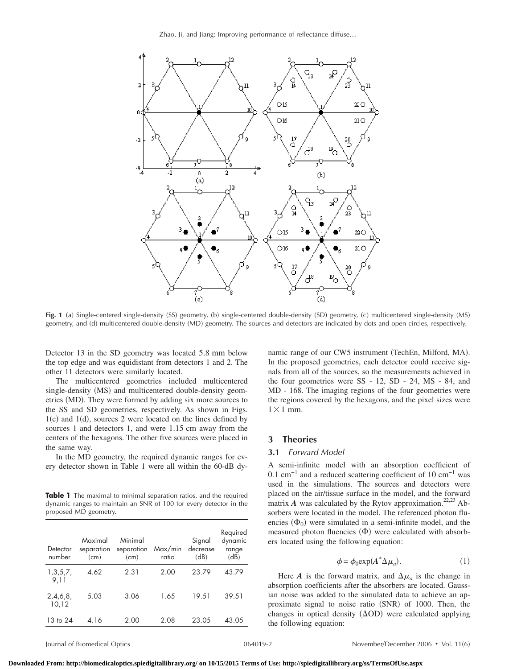Zhao, Ji, and Jiang: Improving performance of reflectance diffuse…



Fig. 1 (a) Single-centered single-density (SS) geometry, (b) single-centered double-density (SD) geometry, (c) multicentered single-density (MS) geometry, and (d) multicentered double-density (MD) geometry. The sources and detectors are indicated by dots and open circles, respectively.

Detector 13 in the SD geometry was located 5.8 mm below the top edge and was equidistant from detectors 1 and 2. The other 11 detectors were similarly located.

The multicentered geometries included multicentered single-density (MS) and multicentered double-density geometries (MD). They were formed by adding six more sources to the SS and SD geometries, respectively. As shown in Figs.  $1(c)$  and  $1(d)$ , sources 2 were located on the lines defined by sources 1 and detectors 1, and were 1.15 cm away from the centers of the hexagons. The other five sources were placed in the same way.

In the MD geometry, the required dynamic ranges for every detector shown in Table 1 were all within the 60-dB dy-

**Table 1** The maximal to minimal separation ratios, and the required dynamic ranges to maintain an SNR of 100 for every detector in the proposed MD geometry.

| Detector<br>number | Maximal<br>separation<br>(cm) | Minimal<br>separation<br>(cm) | Max/min<br>ratio | Signal<br>decrease<br>(dB) | Required<br>dynamic<br>range<br>(dB) |
|--------------------|-------------------------------|-------------------------------|------------------|----------------------------|--------------------------------------|
| 1,3,5,7,<br>9.11   | 4.62                          | 2.31                          | 2.00             | 23.79                      | 43.79                                |
| 2,4,6,8,<br>10,12  | 5.03                          | 3.06                          | 1.65             | 19.51                      | 39.51                                |
| 13 to 24           | 4.16                          | 2.00                          | 2.08             | 23.05                      | 43.05                                |

namic range of our CW5 instrument (TechEn, Milford, MA). In the proposed geometries, each detector could receive signals from all of the sources, so the measurements achieved in the four geometries were SS - 12, SD - 24, MS - 84, and MD - 168. The imaging regions of the four geometries were the regions covered by the hexagons, and the pixel sizes were  $1 \times 1$  mm.

## **3 Theories**

## **3.1** *Forward Model*

A semi-infinite model with an absorption coefficient of 0.1 cm−1 and a reduced scattering coefficient of 10 cm−1 was used in the simulations. The sources and detectors were placed on the air/tissue surface in the model, and the forward matrix  $\vec{A}$  was calculated by the Rytov approximation.<sup>22,23</sup> Absorbers were located in the model. The referenced photon fluencies  $(\Phi_0)$  were simulated in a semi-infinite model, and the measured photon fluencies  $(\Phi)$  were calculated with absorbers located using the following equation:

$$
\phi = \phi_0 \exp(A^* \Delta \mu_a). \tag{1}
$$

Here *A* is the forward matrix, and  $\Delta \mu_a$  is the change in absorption coefficients after the absorbers are located. Gaussian noise was added to the simulated data to achieve an approximate signal to noise ratio (SNR) of 1000. Then, the changes in optical density  $(\Delta OD)$  were calculated applying the following equation: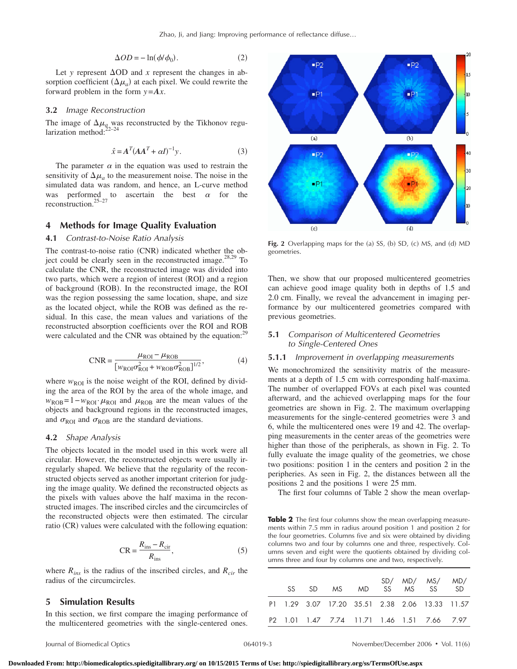$$
\Delta OD = -\ln(\phi/\phi_0). \tag{2}
$$

Let *y* represent  $\Delta$ OD and *x* represent the changes in absorption coefficient  $(\Delta \mu_a)$  at each pixel. We could rewrite the forward problem in the form *y*=*Ax*.

#### **3.2** *Image Reconstruction*

The image of  $\Delta \mu_{q}$  was reconstructed by the Tikhonov regularization method: $^{22-24}$ 

$$
\hat{x} = A^T (AA^T + \alpha I)^{-1} y. \tag{3}
$$

The parameter  $\alpha$  in the equation was used to restrain the sensitivity of  $\Delta \mu_a$  to the measurement noise. The noise in the simulated data was random, and hence, an L-curve method was performed to ascertain the best  $\alpha$  for the reconstruction.25–27

# **4 Methods for Image Quality Evaluation**

### **4.1** *Contrast-to-Noise Ratio Analysis*

The contrast-to-noise ratio (CNR) indicated whether the object could be clearly seen in the reconstructed image. $28,29$  To calculate the CNR, the reconstructed image was divided into two parts, which were a region of interest (ROI) and a region of background (ROB). In the reconstructed image, the ROI was the region possessing the same location, shape, and size as the located object, while the ROB was defined as the residual. In this case, the mean values and variations of the reconstructed absorption coefficients over the ROI and ROB were calculated and the CNR was obtained by the equation:<sup>29</sup>

$$
CNR = \frac{\mu_{ROI} - \mu_{ROB}}{[w_{ROI}\sigma_{ROI}^2 + w_{ROB}\sigma_{ROB}^2]^{1/2}},
$$
(4)

where  $w_{\text{ROI}}$  is the noise weight of the ROI, defined by dividing the area of the ROI by the area of the whole image, and  $w_{ROB} = 1 - w_{ROI} \cdot \mu_{ROI}$  and  $\mu_{ROB}$  are the mean values of the objects and background regions in the reconstructed images, and  $\sigma_{\text{ROI}}$  and  $\sigma_{\text{ROB}}$  are the standard deviations.

## **4.2** *Shape Analysis*

The objects located in the model used in this work were all circular. However, the reconstructed objects were usually irregularly shaped. We believe that the regularity of the reconstructed objects served as another important criterion for judging the image quality. We defined the reconstructed objects as the pixels with values above the half maxima in the reconstructed images. The inscribed circles and the circumcircles of the reconstructed objects were then estimated. The circular ratio (CR) values were calculated with the following equation:

$$
CR = \frac{R_{\text{ins}} - R_{\text{cir}}}{R_{\text{ins}}},
$$
\n(5)

where  $R_{ins}$  is the radius of the inscribed circles, and  $R_{cir}$  the radius of the circumcircles.

#### **5 Simulation Results**

In this section, we first compare the imaging performance of the multicentered geometries with the single-centered ones.



**Fig. 2** Overlapping maps for the (a) SS, (b) SD, (c) MS, and (d) MD geometries.

Then, we show that our proposed multicentered geometries can achieve good image quality both in depths of 1.5 and 2.0 cm. Finally, we reveal the advancement in imaging performance by our multicentered geometries compared with previous geometries.

## **5.1** *Comparison of Multicentered Geometries to Single-Centered Ones*

#### **5.1.1** *Improvement in overlapping measurements*

We monochromized the sensitivity matrix of the measurements at a depth of 1.5 cm with corresponding half-maxima. The number of overlapped FOVs at each pixel was counted afterward, and the achieved overlapping maps for the four geometries are shown in Fig. 2. The maximum overlapping measurements for the single-centered geometries were 3 and 6, while the multicentered ones were 19 and 42. The overlapping measurements in the center areas of the geometries were higher than those of the peripherals, as shown in Fig. 2. To fully evaluate the image quality of the geometries, we chose two positions: position 1 in the centers and position 2 in the peripheries. As seen in Fig. 2, the distances between all the positions 2 and the positions 1 were 25 mm.

The first four columns of Table 2 show the mean overlap-

**Table 2** The first four columns show the mean overlapping measurements within 7.5 mm in radius around position 1 and position 2 for the four geometries. Columns five and six were obtained by dividing columns two and four by columns one and three, respectively. Columns seven and eight were the quotients obtained by dividing columns three and four by columns one and two, respectively.

|  |  |  | SD/ MD/ MS/ MD/<br>SS SD MS MD SS MS SS SD     |  |
|--|--|--|------------------------------------------------|--|
|  |  |  | P1 1.29 3.07 17.20 35.51 2.38 2.06 13.33 11.57 |  |
|  |  |  | P2 1.01 1.47 7.74 11.71 1.46 1.51 7.66 7.97    |  |

Journal of Biomedical Optics 064019-3 November/December 2006 Vol. 116-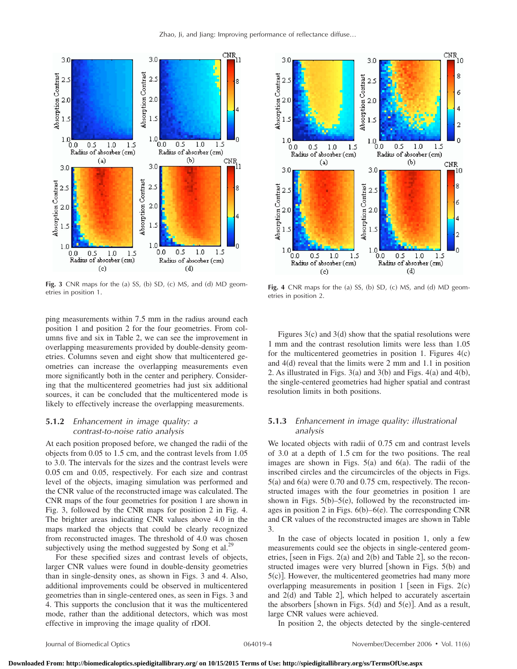

**Fig. 3** CNR maps for the (a) SS, (b) SD, (c) MS, and (d) MD geom-<br>etries in position 1. **Fig. 4** CNR maps for the (a)

ping measurements within 7.5 mm in the radius around each position 1 and position 2 for the four geometries. From columns five and six in Table 2, we can see the improvement in overlapping measurements provided by double-density geometries. Columns seven and eight show that multicentered geometries can increase the overlapping measurements even more significantly both in the center and periphery. Considering that the multicentered geometries had just six additional sources, it can be concluded that the multicentered mode is likely to effectively increase the overlapping measurements.

## **5.1.2** *Enhancement in image quality: a contrast-to-noise ratio analysis*

At each position proposed before, we changed the radii of the objects from 0.05 to 1.5 cm, and the contrast levels from 1.05 to 3.0. The intervals for the sizes and the contrast levels were 0.05 cm and 0.05, respectively. For each size and contrast level of the objects, imaging simulation was performed and the CNR value of the reconstructed image was calculated. The CNR maps of the four geometries for position 1 are shown in Fig. 3, followed by the CNR maps for position 2 in Fig. 4. The brighter areas indicating CNR values above 4.0 in the maps marked the objects that could be clearly recognized from reconstructed images. The threshold of 4.0 was chosen subjectively using the method suggested by Song et al.<sup>29</sup>

For these specified sizes and contrast levels of objects, larger CNR values were found in double-density geometries than in single-density ones, as shown in Figs. 3 and 4. Also, additional improvements could be observed in multicentered geometries than in single-centered ones, as seen in Figs. 3 and 4. This supports the conclusion that it was the multicentered mode, rather than the additional detectors, which was most effective in improving the image quality of rDOI.



) SS, (b) SD, (c) MS, and (d) MD geometries in position 2.

Figures  $3(c)$  and  $3(d)$  show that the spatial resolutions were 1 mm and the contrast resolution limits were less than 1.05 for the multicentered geometries in position 1. Figures  $4(c)$ and  $4(d)$  reveal that the limits were 2 mm and 1.1 in position 2. As illustrated in Figs.  $3(a)$  and  $3(b)$  and Figs.  $4(a)$  and  $4(b)$ , the single-centered geometries had higher spatial and contrast resolution limits in both positions.

# **5.1.3** *Enhancement in image quality: illustrational analysis*

We located objects with radii of 0.75 cm and contrast levels of 3.0 at a depth of 1.5 cm for the two positions. The real images are shown in Figs.  $5(a)$  and  $6(a)$ . The radii of the inscribed circles and the circumcircles of the objects in Figs.  $5(a)$  and  $6(a)$  were 0.70 and 0.75 cm, respectively. The reconstructed images with the four geometries in position 1 are shown in Figs.  $5(b)$ -5(e), followed by the reconstructed images in position 2 in Figs. 6(b)–6(e). The corresponding CNR and CR values of the reconstructed images are shown in Table 3.

In the case of objects located in position 1, only a few measurements could see the objects in single-centered geometries, [seen in Figs.  $2(a)$  and  $2(b)$  and Table 2], so the reconstructed images were very blurred [shown in Figs. 5(b) and 5(c)]. However, the multicentered geometries had many more overlapping measurements in position  $1$  [seen in Figs. 2(c) and 2(d) and Table 2], which helped to accurately ascertain the absorbers [shown in Figs.  $5(d)$  and  $5(e)$ ]. And as a result, large CNR values were achieved.

In position 2, the objects detected by the single-centered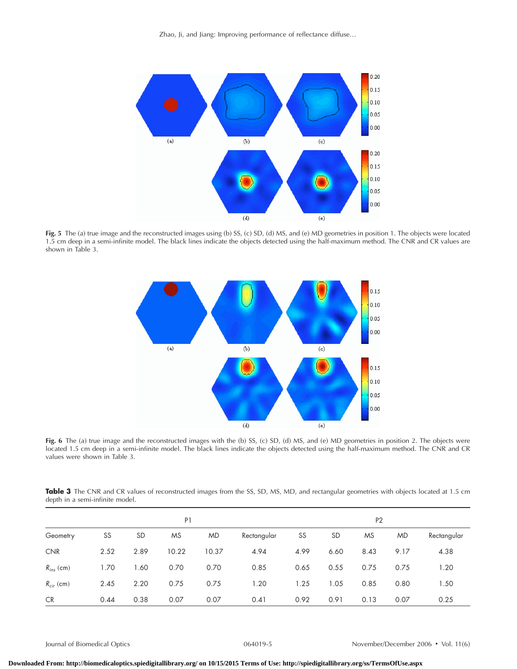Zhao, Ji, and Jiang: Improving performance of reflectance diffuse…



**Fig. 5** The (a) true image and the reconstructed images using (b) SS, (c) SD, (d) MS, and (e) MD geometries in position 1. The objects were located 1.5 cm deep in a semi-infinite model. The black lines indicate the objects detected using the half-maximum method. The CNR and CR values are shown in Table 3.



Fig. 6 The (a) true image and the reconstructed images with the (b) SS, (c) SD, (d) MS, and (e) MD geometries in position 2. The objects were located 1.5 cm deep in a semi-infinite model. The black lines indicate the objects detected using the half-maximum method. The CNR and CR values were shown in Table 3.

Table 3 The CNR and CR values of reconstructed images from the SS, SD, MS, MD, and rectangular geometries with objects located at 1.5 cm depth in a semi-infinite model.

|                | P <sub>1</sub> |           |           |           |             | P <sub>2</sub> |           |           |           |             |
|----------------|----------------|-----------|-----------|-----------|-------------|----------------|-----------|-----------|-----------|-------------|
| Geometry       | SS             | <b>SD</b> | <b>MS</b> | <b>MD</b> | Rectangular | SS             | <b>SD</b> | <b>MS</b> | <b>MD</b> | Rectangular |
| <b>CNR</b>     | 2.52           | 2.89      | 10.22     | 10.37     | 4.94        | 4.99           | 6.60      | 8.43      | 9.17      | 4.38        |
| $R_{ins}$ (cm) | 1.70           | 1.60      | 0.70      | 0.70      | 0.85        | 0.65           | 0.55      | 0.75      | 0.75      | 1.20        |
| $R_{cir}$ (cm) | 2.45           | 2.20      | 0.75      | 0.75      | 1.20        | 1.25           | 1.05      | 0.85      | 0.80      | 1.50        |
| <b>CR</b>      | 0.44           | 0.38      | 0.07      | 0.07      | 0.41        | 0.92           | 0.91      | 0.13      | 0.07      | 0.25        |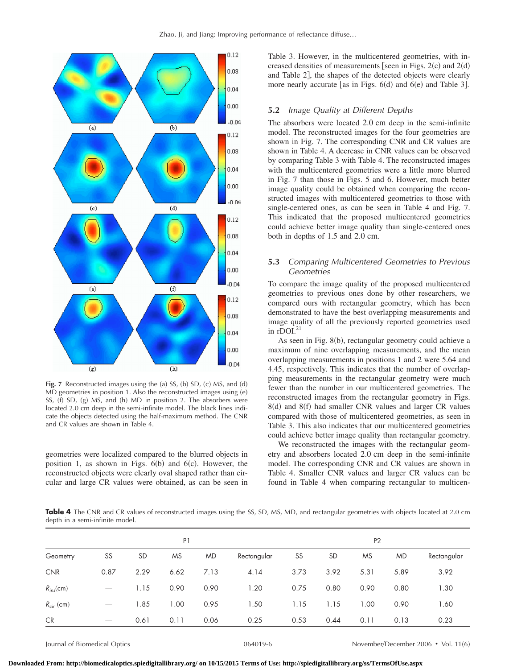

**Fig. 7** Reconstructed images using the (a) SS, (b) SD, (c) MS, and (d) MD geometries in position 1. Also the reconstructed images using (e) SS, (f) SD, (g) MS, and (h) MD in position 2. The absorbers were located 2.0 cm deep in the semi-infinite model. The black lines indicate the objects detected using the half-maximum method. The CNR and CR values are shown in Table 4.

geometries were localized compared to the blurred objects in position 1, as shown in Figs.  $6(b)$  and  $6(c)$ . However, the reconstructed objects were clearly oval shaped rather than circular and large CR values were obtained, as can be seen in Table 3. However, in the multicentered geometries, with increased densities of measurements [seen in Figs.  $2(c)$  and  $2(d)$ and Table 2, the shapes of the detected objects were clearly more nearly accurate [as in Figs.  $6(d)$  and  $6(e)$  and Table 3].

#### **5.2** *Image Quality at Different Depths*

The absorbers were located 2.0 cm deep in the semi-infinite model. The reconstructed images for the four geometries are shown in Fig. 7. The corresponding CNR and CR values are shown in Table 4. A decrease in CNR values can be observed by comparing Table 3 with Table 4. The reconstructed images with the multicentered geometries were a little more blurred in Fig. 7 than those in Figs. 5 and 6. However, much better image quality could be obtained when comparing the reconstructed images with multicentered geometries to those with single-centered ones, as can be seen in Table 4 and Fig. 7. This indicated that the proposed multicentered geometries could achieve better image quality than single-centered ones both in depths of 1.5 and 2.0 cm.

## **5.3** *Comparing Multicentered Geometries to Previous Geometries*

To compare the image quality of the proposed multicentered geometries to previous ones done by other researchers, we compared ours with rectangular geometry, which has been demonstrated to have the best overlapping measurements and image quality of all the previously reported geometries used in  $r$ DOI. $^{21}$ 

As seen in Fig. 8(b), rectangular geometry could achieve a maximum of nine overlapping measurements, and the mean overlapping measurements in positions 1 and 2 were 5.64 and 4.45, respectively. This indicates that the number of overlapping measurements in the rectangular geometry were much fewer than the number in our multicentered geometries. The reconstructed images from the rectangular geometry in Figs. 8(d) and 8(f) had smaller CNR values and larger CR values compared with those of multicentered geometries, as seen in Table 3. This also indicates that our multicentered geometries could achieve better image quality than rectangular geometry.

We reconstructed the images with the rectangular geometry and absorbers located 2.0 cm deep in the semi-infinite model. The corresponding CNR and CR values are shown in Table 4. Smaller CNR values and larger CR values can be found in Table 4 when comparing rectangular to multicen-

Table 4 The CNR and CR values of reconstructed images using the SS, SD, MS, MD, and rectangular geometries with objects located at 2.0 cm depth in a semi-infinite model.

|                | P <sub>1</sub> |           |           |           |             |      | P <sub>2</sub> |      |           |             |  |
|----------------|----------------|-----------|-----------|-----------|-------------|------|----------------|------|-----------|-------------|--|
| Geometry       | SS             | <b>SD</b> | <b>MS</b> | <b>MD</b> | Rectangular | SS   | <b>SD</b>      | MS   | <b>MD</b> | Rectangular |  |
| <b>CNR</b>     | 0.87           | 2.29      | 6.62      | 7.13      | 4.14        | 3.73 | 3.92           | 5.31 | 5.89      | 3.92        |  |
| $R_{ins}$ (cm) |                | 1.15      | 0.90      | 0.90      | 1.20        | 0.75 | 0.80           | 0.90 | 0.80      | 1.30        |  |
| $R_{cir}$ (cm) |                | 1.85      | 1.00      | 0.95      | 1.50        | 1.15 | 1.15           | 1.00 | 0.90      | 1.60        |  |
| <b>CR</b>      |                | 0.61      | 0.11      | 0.06      | 0.25        | 0.53 | 0.44           | 0.11 | 0.13      | 0.23        |  |

Journal of Biomedical Optics 064019-6 November/December 2006 Vol. 116-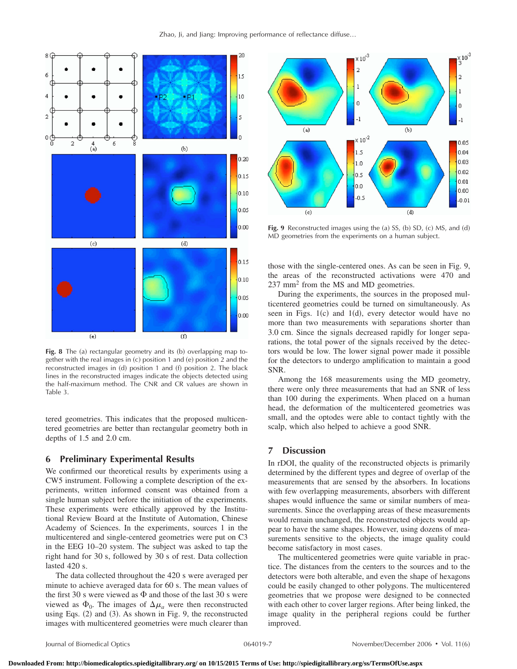

**Fig. 8** The (a) rectangular geometry and its (b) overlapping map together with the real images in (c) position 1 and (e) position 2 and the reconstructed images in (d) position 1 and (f) position 2. The black lines in the reconstructed images indicate the objects detected using the half-maximum method. The CNR and CR values are shown in Table 3.

tered geometries. This indicates that the proposed multicentered geometries are better than rectangular geometry both in depths of 1.5 and 2.0 cm.

## **6 Preliminary Experimental Results**

We confirmed our theoretical results by experiments using a CW5 instrument. Following a complete description of the experiments, written informed consent was obtained from a single human subject before the initiation of the experiments. These experiments were ethically approved by the Institutional Review Board at the Institute of Automation, Chinese Academy of Sciences. In the experiments, sources 1 in the multicentered and single-centered geometries were put on C3 in the EEG 10–20 system. The subject was asked to tap the right hand for 30 s, followed by 30 s of rest. Data collection lasted 420 s.

The data collected throughout the 420 s were averaged per minute to achieve averaged data for 60 s. The mean values of the first 30 s were viewed as  $\Phi$  and those of the last 30 s were viewed as  $\Phi_0$ . The images of  $\Delta \mu_a$  were then reconstructed using Eqs. (2) and (3). As shown in Fig. 9, the reconstructed images with multicentered geometries were much clearer than



**Fig. 9** Reconstructed images using the (a) SS, (b) SD, (c) MS, and (d) MD geometries from the experiments on a human subject.

those with the single-centered ones. As can be seen in Fig. 9, the areas of the reconstructed activations were 470 and 237 mm2 from the MS and MD geometries.

During the experiments, the sources in the proposed multicentered geometries could be turned on simultaneously. As seen in Figs. 1(c) and 1(d), every detector would have no more than two measurements with separations shorter than 3.0 cm. Since the signals decreased rapidly for longer separations, the total power of the signals received by the detectors would be low. The lower signal power made it possible for the detectors to undergo amplification to maintain a good SNR.

Among the 168 measurements using the MD geometry, there were only three measurements that had an SNR of less than 100 during the experiments. When placed on a human head, the deformation of the multicentered geometries was small, and the optodes were able to contact tightly with the scalp, which also helped to achieve a good SNR.

# **7 Discussion**

In rDOI, the quality of the reconstructed objects is primarily determined by the different types and degree of overlap of the measurements that are sensed by the absorbers. In locations with few overlapping measurements, absorbers with different shapes would influence the same or similar numbers of measurements. Since the overlapping areas of these measurements would remain unchanged, the reconstructed objects would appear to have the same shapes. However, using dozens of measurements sensitive to the objects, the image quality could become satisfactory in most cases.

The multicentered geometries were quite variable in practice. The distances from the centers to the sources and to the detectors were both alterable, and even the shape of hexagons could be easily changed to other polygons. The multicentered geometries that we propose were designed to be connected with each other to cover larger regions. After being linked, the image quality in the peripheral regions could be further improved.